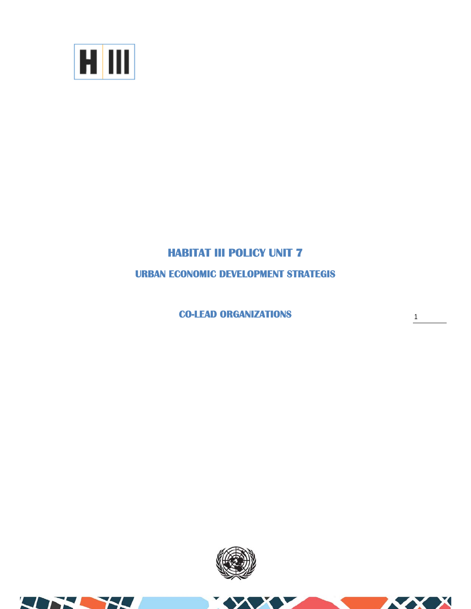

## **HABITAT III POLICY UNIT 7**

**URBAN ECONOMIC DEVELOPMENT STRATEGIS** 

**CO-LEAD ORGANIZATIONS** 

1